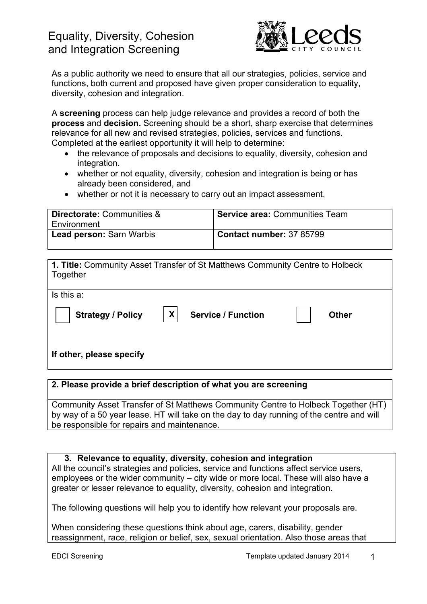

As a public authority we need to ensure that all our strategies, policies, service and functions, both current and proposed have given proper consideration to equality, diversity, cohesion and integration.

A **screening** process can help judge relevance and provides a record of both the **process** and **decision.** Screening should be a short, sharp exercise that determines relevance for all new and revised strategies, policies, services and functions. Completed at the earliest opportunity it will help to determine:

- the relevance of proposals and decisions to equality, diversity, cohesion and integration.
- whether or not equality, diversity, cohesion and integration is being or has already been considered, and
- whether or not it is necessary to carry out an impact assessment.

| <b>Directorate: Communities &amp;</b><br>Environment | <b>Service area: Communities Team</b> |
|------------------------------------------------------|---------------------------------------|
| <b>Lead person: Sarn Warbis</b>                      | Contact number: 37 85799              |

| 1. Title: Community Asset Transfer of St Matthews Community Centre to Holbeck<br>Together |              |
|-------------------------------------------------------------------------------------------|--------------|
| Is this a:                                                                                |              |
| X<br><b>Strategy / Policy</b><br><b>Service / Function</b>                                | <b>Other</b> |
| If other, please specify                                                                  |              |

#### **2. Please provide a brief description of what you are screening**

Community Asset Transfer of St Matthews Community Centre to Holbeck Together (HT) by way of a 50 year lease. HT will take on the day to day running of the centre and will be responsible for repairs and maintenance.

#### **3. Relevance to equality, diversity, cohesion and integration**

All the council's strategies and policies, service and functions affect service users, employees or the wider community – city wide or more local. These will also have a greater or lesser relevance to equality, diversity, cohesion and integration.

The following questions will help you to identify how relevant your proposals are.

When considering these questions think about age, carers, disability, gender reassignment, race, religion or belief, sex, sexual orientation. Also those areas that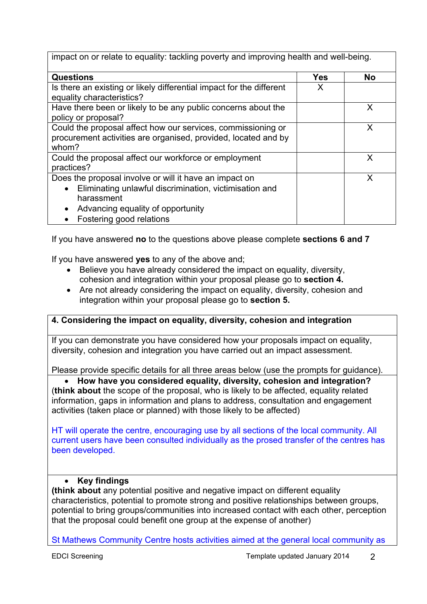| impact on or relate to equality: tackling poverty and improving health and well-being.                                                                                                                                    |     |           |  |
|---------------------------------------------------------------------------------------------------------------------------------------------------------------------------------------------------------------------------|-----|-----------|--|
| <b>Questions</b>                                                                                                                                                                                                          | Yes | <b>No</b> |  |
| Is there an existing or likely differential impact for the different<br>equality characteristics?                                                                                                                         | X   |           |  |
| Have there been or likely to be any public concerns about the<br>policy or proposal?                                                                                                                                      |     | X         |  |
| Could the proposal affect how our services, commissioning or<br>procurement activities are organised, provided, located and by<br>whom?                                                                                   |     | X         |  |
| Could the proposal affect our workforce or employment<br>practices?                                                                                                                                                       |     | X         |  |
| Does the proposal involve or will it have an impact on<br>Eliminating unlawful discrimination, victimisation and<br>$\bullet$<br>harassment<br>Advancing equality of opportunity<br>$\bullet$<br>Fostering good relations |     | X         |  |

If you have answered **no** to the questions above please complete **sections 6 and 7**

If you have answered **yes** to any of the above and;

- Believe you have already considered the impact on equality, diversity, cohesion and integration within your proposal please go to **section 4.**
- Are not already considering the impact on equality, diversity, cohesion and integration within your proposal please go to **section 5.**

## **4. Considering the impact on equality, diversity, cohesion and integration**

If you can demonstrate you have considered how your proposals impact on equality, diversity, cohesion and integration you have carried out an impact assessment.

Please provide specific details for all three areas below (use the prompts for guidance).

 **How have you considered equality, diversity, cohesion and integration?**  (**think about** the scope of the proposal, who is likely to be affected, equality related information, gaps in information and plans to address, consultation and engagement activities (taken place or planned) with those likely to be affected)

HT will operate the centre, encouraging use by all sections of the local community. All current users have been consulted individually as the prosed transfer of the centres has been developed.

## **Key findings**

**(think about** any potential positive and negative impact on different equality characteristics, potential to promote strong and positive relationships between groups, potential to bring groups/communities into increased contact with each other, perception that the proposal could benefit one group at the expense of another)

St Mathews Community Centre hosts activities aimed at the general local community as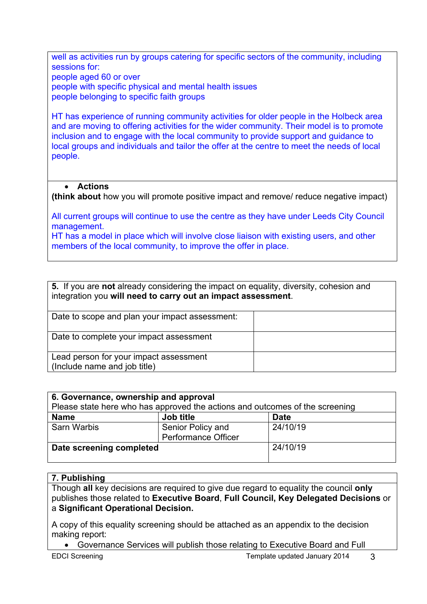well as activities run by groups catering for specific sectors of the community, including sessions for:

people aged 60 or over

people with specific physical and mental health issues people belonging to specific faith groups

HT has experience of running community activities for older people in the Holbeck area and are moving to offering activities for the wider community. Their model is to promote inclusion and to engage with the local community to provide support and guidance to local groups and individuals and tailor the offer at the centre to meet the needs of local people.

# **Actions**

**(think about** how you will promote positive impact and remove/ reduce negative impact)

All current groups will continue to use the centre as they have under Leeds City Council management.

HT has a model in place which will involve close liaison with existing users, and other members of the local community, to improve the offer in place.

| 5. If you are not already considering the impact on equality, diversity, cohesion and<br>integration you will need to carry out an impact assessment. |  |  |
|-------------------------------------------------------------------------------------------------------------------------------------------------------|--|--|
| Date to scope and plan your impact assessment:                                                                                                        |  |  |
| Date to complete your impact assessment                                                                                                               |  |  |
| Lead person for your impact assessment<br>(Include name and job title)                                                                                |  |  |

| 6. Governance, ownership and approval<br>Please state here who has approved the actions and outcomes of the screening |                                                 |             |  |
|-----------------------------------------------------------------------------------------------------------------------|-------------------------------------------------|-------------|--|
| <b>Name</b>                                                                                                           | Job title                                       | <b>Date</b> |  |
| <b>Sarn Warbis</b>                                                                                                    | Senior Policy and<br><b>Performance Officer</b> | 24/10/19    |  |
| Date screening completed                                                                                              |                                                 | 24/10/19    |  |

## **7. Publishing**

Though **all** key decisions are required to give due regard to equality the council **only** publishes those related to **Executive Board**, **Full Council, Key Delegated Decisions** or a **Significant Operational Decision.**

A copy of this equality screening should be attached as an appendix to the decision making report:

Governance Services will publish those relating to Executive Board and Full